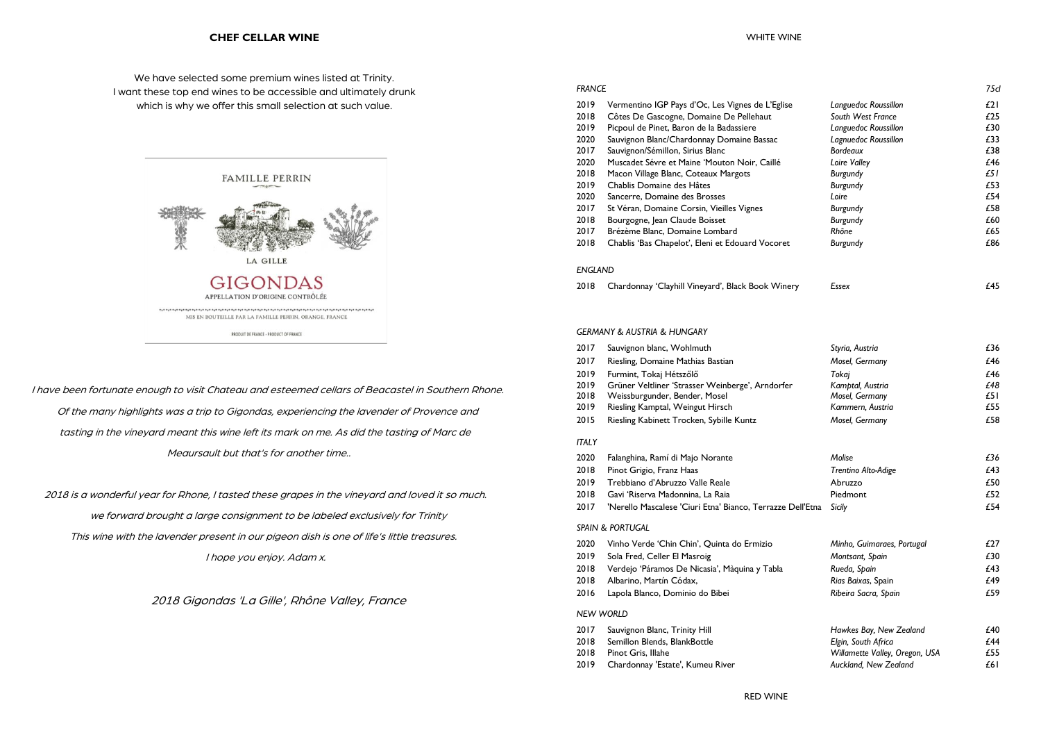### **CHEF CELLAR WINE**

We have selected some premium wines listed at Trinity. I want these top end wines to be accessible and ultimately drunk which is why we offer this small selection at such value.



I have been fortunate enough to visit Chateau and esteemed cellars of Beacastel in Southern Rhone. Of the many highlights was a trip to Gigondas, experiencing the lavender of Provence and tasting in the vineyard meant this wine left its mark on me. As did the tasting of Marc de Meaursault but that's for another time..

 2018 is a wonderful year for Rhone, I tasted these grapes in the vineyard and loved it so much. we forward brought a large consignment to be labeled exclusively for Trinity This wine with the lavender present in our pigeon dish is one of life's little treasures. I hope you enjoy. Adam x.

2018 Gigondas 'La Gille', Rhône Valley, France

|                                                                                                                                                                                                                                                                                                                                                                                                                                                                                                                                                     |                                                                                                                                                                                                                                                                                                                                                                                                                                                                                                                                                                                                                                                                                   | 75d                                                                                                                                                                                                                                                                                         |
|-----------------------------------------------------------------------------------------------------------------------------------------------------------------------------------------------------------------------------------------------------------------------------------------------------------------------------------------------------------------------------------------------------------------------------------------------------------------------------------------------------------------------------------------------------|-----------------------------------------------------------------------------------------------------------------------------------------------------------------------------------------------------------------------------------------------------------------------------------------------------------------------------------------------------------------------------------------------------------------------------------------------------------------------------------------------------------------------------------------------------------------------------------------------------------------------------------------------------------------------------------|---------------------------------------------------------------------------------------------------------------------------------------------------------------------------------------------------------------------------------------------------------------------------------------------|
| Vermentino IGP Pays d'Oc, Les Vignes de L'Eglise<br>Côtes De Gascogne, Domaine De Pellehaut<br>Picpoul de Pinet, Baron de la Badassiere<br>Sauvignon Blanc/Chardonnay Domaine Bassac<br>Sauvignon/Sémillon, Sirius Blanc<br>Muscadet Sévre et Maine 'Mouton Noir, Caillé<br>Macon Village Blanc, Coteaux Margots<br>Chablis Domaine des Hâtes<br>Sancerre, Domaine des Brosses<br>St Véran, Domaine Corsin, Vieilles Vignes<br>Bourgogne, Jean Claude Boisset<br>Brézème Blanc, Domaine Lombard<br>Chablis 'Bas Chapelot', Eleni et Edouard Vocoret | Languedoc Roussillon<br>South West France<br>Languedoc Roussillon<br>Lagnuedoc Roussillon<br><b>Bordeaux</b><br>Loire Valley<br><b>Burgundy</b><br><b>Burgundy</b><br>Loire<br><b>Burgundy</b><br>Burgundy<br>Rhône<br>Burgundy                                                                                                                                                                                                                                                                                                                                                                                                                                                   | E21<br>£25<br>£30<br>£33<br>£38<br>£46<br>£5 I<br>£53<br>£54<br>£58<br>£60<br>£65<br>£86                                                                                                                                                                                                    |
|                                                                                                                                                                                                                                                                                                                                                                                                                                                                                                                                                     |                                                                                                                                                                                                                                                                                                                                                                                                                                                                                                                                                                                                                                                                                   |                                                                                                                                                                                                                                                                                             |
| Chardonnay 'Clayhill Vineyard', Black Book Winery                                                                                                                                                                                                                                                                                                                                                                                                                                                                                                   | Essex                                                                                                                                                                                                                                                                                                                                                                                                                                                                                                                                                                                                                                                                             | £45                                                                                                                                                                                                                                                                                         |
|                                                                                                                                                                                                                                                                                                                                                                                                                                                                                                                                                     |                                                                                                                                                                                                                                                                                                                                                                                                                                                                                                                                                                                                                                                                                   |                                                                                                                                                                                                                                                                                             |
|                                                                                                                                                                                                                                                                                                                                                                                                                                                                                                                                                     |                                                                                                                                                                                                                                                                                                                                                                                                                                                                                                                                                                                                                                                                                   | £36                                                                                                                                                                                                                                                                                         |
| Riesling, Domaine Mathias Bastian                                                                                                                                                                                                                                                                                                                                                                                                                                                                                                                   | Mosel, Germany                                                                                                                                                                                                                                                                                                                                                                                                                                                                                                                                                                                                                                                                    | £46                                                                                                                                                                                                                                                                                         |
| Furmint, Tokaj Hétszőlő                                                                                                                                                                                                                                                                                                                                                                                                                                                                                                                             | Tokaj                                                                                                                                                                                                                                                                                                                                                                                                                                                                                                                                                                                                                                                                             | £46                                                                                                                                                                                                                                                                                         |
| Grüner Veltliner 'Strasser Weinberge', Arndorfer                                                                                                                                                                                                                                                                                                                                                                                                                                                                                                    | Kamptal, Austria                                                                                                                                                                                                                                                                                                                                                                                                                                                                                                                                                                                                                                                                  | £48                                                                                                                                                                                                                                                                                         |
|                                                                                                                                                                                                                                                                                                                                                                                                                                                                                                                                                     |                                                                                                                                                                                                                                                                                                                                                                                                                                                                                                                                                                                                                                                                                   | £51                                                                                                                                                                                                                                                                                         |
|                                                                                                                                                                                                                                                                                                                                                                                                                                                                                                                                                     |                                                                                                                                                                                                                                                                                                                                                                                                                                                                                                                                                                                                                                                                                   | £55<br>£58                                                                                                                                                                                                                                                                                  |
|                                                                                                                                                                                                                                                                                                                                                                                                                                                                                                                                                     |                                                                                                                                                                                                                                                                                                                                                                                                                                                                                                                                                                                                                                                                                   |                                                                                                                                                                                                                                                                                             |
|                                                                                                                                                                                                                                                                                                                                                                                                                                                                                                                                                     |                                                                                                                                                                                                                                                                                                                                                                                                                                                                                                                                                                                                                                                                                   |                                                                                                                                                                                                                                                                                             |
|                                                                                                                                                                                                                                                                                                                                                                                                                                                                                                                                                     |                                                                                                                                                                                                                                                                                                                                                                                                                                                                                                                                                                                                                                                                                   | £36                                                                                                                                                                                                                                                                                         |
|                                                                                                                                                                                                                                                                                                                                                                                                                                                                                                                                                     |                                                                                                                                                                                                                                                                                                                                                                                                                                                                                                                                                                                                                                                                                   | £43                                                                                                                                                                                                                                                                                         |
|                                                                                                                                                                                                                                                                                                                                                                                                                                                                                                                                                     |                                                                                                                                                                                                                                                                                                                                                                                                                                                                                                                                                                                                                                                                                   | £50<br>£52                                                                                                                                                                                                                                                                                  |
|                                                                                                                                                                                                                                                                                                                                                                                                                                                                                                                                                     |                                                                                                                                                                                                                                                                                                                                                                                                                                                                                                                                                                                                                                                                                   | £54                                                                                                                                                                                                                                                                                         |
|                                                                                                                                                                                                                                                                                                                                                                                                                                                                                                                                                     |                                                                                                                                                                                                                                                                                                                                                                                                                                                                                                                                                                                                                                                                                   |                                                                                                                                                                                                                                                                                             |
|                                                                                                                                                                                                                                                                                                                                                                                                                                                                                                                                                     |                                                                                                                                                                                                                                                                                                                                                                                                                                                                                                                                                                                                                                                                                   | £27                                                                                                                                                                                                                                                                                         |
|                                                                                                                                                                                                                                                                                                                                                                                                                                                                                                                                                     |                                                                                                                                                                                                                                                                                                                                                                                                                                                                                                                                                                                                                                                                                   | £30                                                                                                                                                                                                                                                                                         |
|                                                                                                                                                                                                                                                                                                                                                                                                                                                                                                                                                     |                                                                                                                                                                                                                                                                                                                                                                                                                                                                                                                                                                                                                                                                                   | £43                                                                                                                                                                                                                                                                                         |
|                                                                                                                                                                                                                                                                                                                                                                                                                                                                                                                                                     |                                                                                                                                                                                                                                                                                                                                                                                                                                                                                                                                                                                                                                                                                   | £49                                                                                                                                                                                                                                                                                         |
| Lapola Blanco, Dominio do Bibei                                                                                                                                                                                                                                                                                                                                                                                                                                                                                                                     | Ribeira Sacra, Spain                                                                                                                                                                                                                                                                                                                                                                                                                                                                                                                                                                                                                                                              | £59                                                                                                                                                                                                                                                                                         |
|                                                                                                                                                                                                                                                                                                                                                                                                                                                                                                                                                     |                                                                                                                                                                                                                                                                                                                                                                                                                                                                                                                                                                                                                                                                                   |                                                                                                                                                                                                                                                                                             |
| Sauvignon Blanc, Trinity Hill                                                                                                                                                                                                                                                                                                                                                                                                                                                                                                                       | Hawkes Bay, New Zealand                                                                                                                                                                                                                                                                                                                                                                                                                                                                                                                                                                                                                                                           | £40                                                                                                                                                                                                                                                                                         |
| Semillon Blends, BlankBottle                                                                                                                                                                                                                                                                                                                                                                                                                                                                                                                        | Elgin, South Africa                                                                                                                                                                                                                                                                                                                                                                                                                                                                                                                                                                                                                                                               | £44                                                                                                                                                                                                                                                                                         |
| Pinot Gris, Illahe                                                                                                                                                                                                                                                                                                                                                                                                                                                                                                                                  |                                                                                                                                                                                                                                                                                                                                                                                                                                                                                                                                                                                                                                                                                   | £55                                                                                                                                                                                                                                                                                         |
|                                                                                                                                                                                                                                                                                                                                                                                                                                                                                                                                                     |                                                                                                                                                                                                                                                                                                                                                                                                                                                                                                                                                                                                                                                                                   | £61                                                                                                                                                                                                                                                                                         |
|                                                                                                                                                                                                                                                                                                                                                                                                                                                                                                                                                     | <b>FRANCE</b><br><b>ENGLAND</b><br><b>GERMANY &amp; AUSTRIA &amp; HUNGARY</b><br>Sauvignon blanc, Wohlmuth<br>Weissburgunder, Bender, Mosel<br>Riesling Kamptal, Weingut Hirsch<br>Riesling Kabinett Trocken, Sybille Kuntz<br>Falanghina, Ramí di Majo Norante<br>Pinot Grigio, Franz Haas<br>Trebbiano d'Abruzzo Valle Reale<br>Gavi 'Riserva Madonnina, La Raia<br>'Nerello Mascalese 'Ciuri Etna' Bianco, Terrazze Dell'Etna<br><b>SPAIN &amp; PORTUGAL</b><br>Vinho Verde 'Chin Chin', Quinta do Ermizio<br>Sola Fred, Celler El Masroig<br>Verdejo 'Páramos De Nicasia', Màquina y Tabla<br>Albarino, Martín Códax,<br><b>NEW WORLD</b><br>Chardonnay 'Estate', Kumeu River | Styria, Austria<br>Mosel, Germany<br>Kammern, Austria<br>Mosel, Germany<br>Molise<br>Trentino Alto-Adige<br>Abruzzo<br>Piedmont<br>Sicily<br>Minho, Guimaraes, Portugal<br>Montsant, Spain<br>Rueda, Spain<br>Rias Baixas, Spain<br>Willamette Valley, Oregon, USA<br>Auckland, New Zealand |

| 2017 |  |  | Sauvignon blanc, Wohlmuth |
|------|--|--|---------------------------|
|------|--|--|---------------------------|

- 
- 
- 
- 
- 
- 

- 
- 
- 
- 
- 

- 
- 
- 
-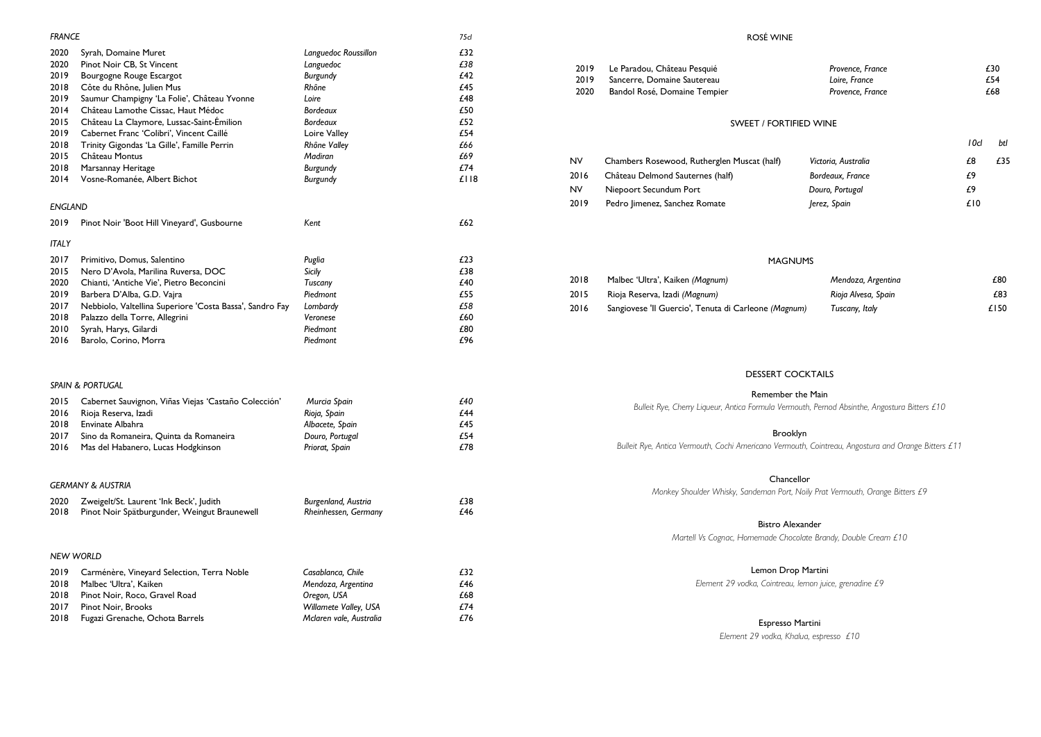| <b>FRANCE</b>  |                                                          |                         | 75cl |
|----------------|----------------------------------------------------------|-------------------------|------|
| 2020           | Syrah, Domaine Muret                                     | Languedoc Roussillon    | £32  |
| 2020           | Pinot Noir CB, St Vincent                                | Languedoc               | £38  |
| 2019           | Bourgogne Rouge Escargot                                 | Burgundy                | £42  |
| 2018           | Côte du Rhône, Julien Mus                                | Rhône                   | £45  |
| 2019           | Saumur Champigny 'La Folie', Château Yvonne              | Loire                   | £48  |
| 2014           | Château Lamothe Cissac, Haut Médoc                       | <b>Bordeaux</b>         | £50  |
| 2015           | Château La Claymore, Lussac-Saint-Émilion                | <b>Bordeaux</b>         | £52  |
| 2019           | Cabernet Franc 'Colibri', Vincent Caillé                 | Loire Valley            | £54  |
| 2018           | Trinity Gigondas 'La Gille', Famille Perrin              | Rhône Valley            | £66  |
| 2015           | Château Montus                                           | Madiran                 | £69  |
| 2018           | Marsannay Heritage                                       | Burgundy                | £74  |
| 2014           | Vosne-Romanée, Albert Bichot                             | <b>Burgundy</b>         | £118 |
| <b>ENGLAND</b> |                                                          |                         |      |
| 2019           | Pinot Noir 'Boot Hill Vineyard', Gusbourne               | Kent                    | £62  |
| <b>ITALY</b>   |                                                          |                         |      |
| 2017           | Primitivo, Domus, Salentino                              | Puglia                  | £23  |
| 2015           | Nero D'Avola, Marilina Ruversa, DOC                      | <b>Sicily</b>           | £38  |
| 2020           | Chianti, 'Antiche Vie', Pietro Beconcini                 | Tuscany                 | £40  |
| 2019           | Barbera D'Alba, G.D. Vajra                               | Piedmont                | £55  |
| 2017           | Nebbiolo, Valtellina Superiore 'Costa Bassa', Sandro Fay | Lombardy                | £58  |
| 2018           | Palazzo della Torre, Allegrini                           | Veronese                | £60  |
| 2010           | Syrah, Harys, Gilardi                                    | Piedmont                | £80  |
| 2016           | Barolo, Corino, Morra                                    | Piedmont                | £96  |
|                | <b>SPAIN &amp; PORTUGAL</b>                              |                         |      |
| 2015           | Cabernet Sauvignon, Viñas Viejas 'Castaño Colección'     | Murcia Spain            | £40  |
| 2016           | Rioja Reserva, Izadi                                     | Rioja, Spain            | £44  |
| 2018           | Envinate Albahra                                         | Albacete, Spain         | £45  |
| 2017           | Sino da Romaneira, Quinta da Romaneira                   | Douro, Portugal         | £54  |
| 2016           | Mas del Habanero, Lucas Hodgkinson                       | Priorat, Spain          | £78  |
|                | <b>GERMANY &amp; AUSTRIA</b>                             |                         |      |
| 2020           | Zweigelt/St. Laurent 'Ink Beck', Judith                  | Burgenland, Austria     | £38  |
| 2018           | Pinot Noir Spätburgunder, Weingut Braunewell             | Rheinhessen, Germany    | £46  |
|                | <b>NEW WORLD</b>                                         |                         |      |
| 2019           | Carménère, Vineyard Selection, Terra Noble               | Casablanca, Chile       | £32  |
| 2018           | Malbec 'Ultra', Kaiken                                   | Mendoza, Argentina      | £46  |
| 2018           | Pinot Noir, Roco, Gravel Road                            | Oregon, USA             | £68  |
| 2017           | Pinot Noir, Brooks                                       | Willamete Valley, USA   | £74  |
| 2018           | Fugazi Grenache, Ochota Barrels                          | Mclaren vale, Australia | £76  |

the Main *Bulleit Rye, Cherry Liqueur, Antica Formula Vermouth, Pernod Absinthe, Angostura Bitters £10*

### klyn

### ROSÉ WINE

2019 Le Paradou, Château Pesquié

| Provence, France | £30 |
|------------------|-----|
| Loire, France    | £54 |
| Provence, France | £68 |

|                     | 10d | btl |
|---------------------|-----|-----|
| Victoria, Australia | £8  | £35 |
| Bordeaux, France    | f9  |     |
| Douro, Portugal     | f9  |     |
| Jerez, Spain        | £10 |     |

### **COCKTAILS**

| 2019      | Sancerre, Domaine Sautereau                          | Loire, France       |     | £54  |
|-----------|------------------------------------------------------|---------------------|-----|------|
| 2020      | Bandol Rosé, Domaine Tempier                         | Provence, France    |     | £68  |
|           | <b>SWEET / FORTIFIED WINE</b>                        |                     |     |      |
|           |                                                      |                     | 10d | btl  |
| <b>NV</b> | Chambers Rosewood, Rutherglen Muscat (half)          | Victoria, Australia | £8  | £35  |
| 2016      | Château Delmond Sauternes (half)                     | Bordeaux, France    | £9  |      |
| <b>NV</b> | Niepoort Secundum Port                               | Douro, Portugal     | £9  |      |
| 2019      | Pedro Jimenez, Sanchez Romate                        | Jerez, Spain        | £10 |      |
|           |                                                      |                     |     |      |
|           |                                                      |                     |     |      |
|           | <b>MAGNUMS</b>                                       |                     |     |      |
| 2018      | Malbec 'Ultra', Kaiken (Magnum)                      | Mendoza, Argentina  |     | £80  |
| 2015      | Rioja Reserva, Izadi (Magnum)                        | Rioja Alvesa, Spain |     | £83  |
| 2016      | Sangiovese 'Il Guercio', Tenuta di Carleone (Magnum) | Tuscany, Italy      |     | £150 |

| <b>DESSERT</b> |  |
|----------------|--|
|                |  |

|                                  |                 |     | Remember                                            |
|----------------------------------|-----------------|-----|-----------------------------------------------------|
| Viñas Viejas 'Castaño Colección' | Murcia Spain    | £40 | Bulleit Rye, Cherry Liqueur, Antica Formula Verm    |
|                                  | Rioja, Spain    | £44 |                                                     |
|                                  | Albacete, Spain | £45 |                                                     |
| uinta da Romaneira               | Douro, Portugal | £54 | <b>Brook</b>                                        |
| cas Hodgkinson                   | Priorat, Spain  | £78 | Bulleit Rye, Antica Vermouth, Cochi Americano Vermo |
|                                  |                 |     |                                                     |

| Monkey Shoulder Whisky, Sandeman I |     |                              | GERMANY & AUSTRIA                            |      |
|------------------------------------|-----|------------------------------|----------------------------------------------|------|
|                                    | £38 | Burgenland, Austria          | Zweigelt/St. Laurent 'Ink Beck', Judith      | 2020 |
|                                    | £46 | Rheinhessen, Germany         | Pinot Noir Spätburgunder, Weingut Braunewell | 2018 |
| <b>Bistro</b>                      |     |                              |                                              |      |
| Martell Vs Cognac, Homemade        |     |                              |                                              |      |
|                                    |     |                              | <b>NEW WORLD</b>                             |      |
| Lemon                              | £32 | Casablanca, Chile            | Carménère, Vineyard Selection, Terra Noble   | 2019 |
| Element 29 vodka, Cointi           | £46 | Mendoza, Argentina           | Malbec 'Ultra', Kaiken                       | 2018 |
|                                    | £68 | Oregon, USA                  | Pinot Noir, Roco, Gravel Road                | 2018 |
|                                    | £74 | <b>Willamete Valley, USA</b> | Pinot Noir, Brooks                           | 2017 |
| Espre                              | £76 | Mclaren vale, Australia      | Fugazi Grenache, Ochota Barrels              | 2018 |
|                                    |     |                              |                                              |      |

*Bulleit Rye, Antica Vermouth, Cochi Americano Vermouth, Cointreau, Angostura and Orange Bitters £11*

### Chancellor

*Port, Noily Prat Vermouth, Orange Bitters £9* 

### Bistrander

*Martell Vs Cognac, Homemade Chocolate Brandy, Double Cream £10*

# Drop Martini

*Element 29 vodka, Cointreau, lemon juice, grenadine £9*

### esso Martini

*Element 29 vodka, Khalua, espresso £10*